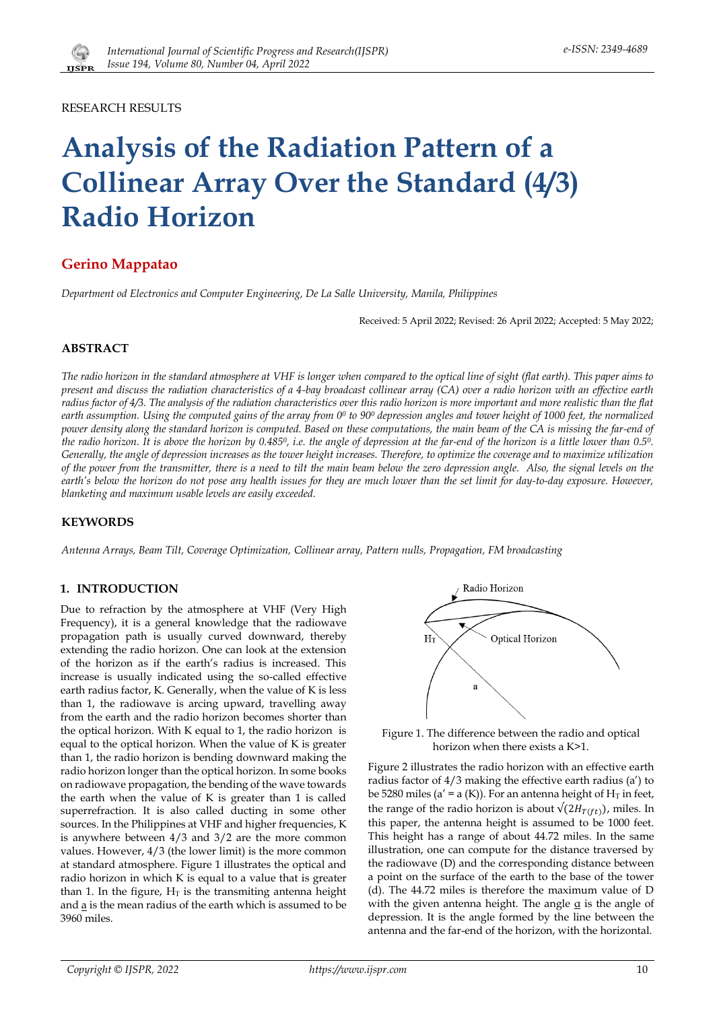

RESEARCH RESULTS

# **Analysis of the Radiation Pattern of a Collinear Array Over the Standard (4/3) Radio Horizon**

## **Gerino Mappatao**

*Department od Electronics and Computer Engineering, De La Salle University, Manila, Philippines*

Received: 5 April 2022; Revised: 26 April 2022; Accepted: 5 May 2022;

## **ABSTRACT**

*The radio horizon in the standard atmosphere at VHF is longer when compared to the optical line of sight (flat earth). This paper aims to present and discuss the radiation characteristics of a 4-bay broadcast collinear array (CA) over a radio horizon with an effective earth radius factor of 4/3. The analysis of the radiation characteristics over this radio horizon is more important and more realistic than the flat earth assumption. Using the computed gains of the array from 0<sup>0</sup> to 90<sup>0</sup> depression angles and tower height of 1000 feet, the normalized power density along the standard horizon is computed. Based on these computations, the main beam of the CA is missing the far-end of the radio horizon. It is above the horizon by 0.4850, i.e. the angle of depression at the far-end of the horizon is a little lower than 0.50. Generally, the angle of depression increases as the tower height increases. Therefore, to optimize the coverage and to maximize utilization of the power from the transmitter, there is a need to tilt the main beam below the zero depression angle. Also, the signal levels on the earth's below the horizon do not pose any health issues for they are much lower than the set limit for day-to-day exposure. However, blanketing and maximum usable levels are easily exceeded.*

## **KEYWORDS**

*Antenna Arrays, Beam Tilt, Coverage Optimization, Collinear array, Pattern nulls, Propagation, FM broadcasting*

## **1. INTRODUCTION**

Due to refraction by the atmosphere at VHF (Very High Frequency), it is a general knowledge that the radiowave propagation path is usually curved downward, thereby extending the radio horizon. One can look at the extension of the horizon as if the earth's radius is increased. This increase is usually indicated using the so-called effective earth radius factor, K. Generally, when the value of K is less than 1, the radiowave is arcing upward, travelling away from the earth and the radio horizon becomes shorter than the optical horizon. With K equal to 1, the radio horizon is equal to the optical horizon. When the value of K is greater than 1, the radio horizon is bending downward making the radio horizon longer than the optical horizon. In some books on radiowave propagation, the bending of the wave towards the earth when the value of K is greater than 1 is called superrefraction. It is also called ducting in some other sources. In the Philippines at VHF and higher frequencies, K is anywhere between 4/3 and 3/2 are the more common values. However, 4/3 (the lower limit) is the more common at standard atmosphere. Figure 1 illustrates the optical and radio horizon in which K is equal to a value that is greater than 1. In the figure,  $H<sub>T</sub>$  is the transmiting antenna height and  $\underline{a}$  is the mean radius of the earth which is assumed to be 3960 miles.



Figure 1. The difference between the radio and optical horizon when there exists a K>1.

Figure 2 illustrates the radio horizon with an effective earth radius factor of 4/3 making the effective earth radius (a') to be 5280 miles (a' = a (K)). For an antenna height of  $H_T$  in feet, the range of the radio horizon is about  $\sqrt{(2H_{T(rt)})}$ , miles. In this paper, the antenna height is assumed to be 1000 feet. This height has a range of about 44.72 miles. In the same illustration, one can compute for the distance traversed by the radiowave (D) and the corresponding distance between a point on the surface of the earth to the base of the tower (d). The 44.72 miles is therefore the maximum value of D with the given antenna height. The angle  $\alpha$  is the angle of depression. It is the angle formed by the line between the antenna and the far-end of the horizon, with the horizontal.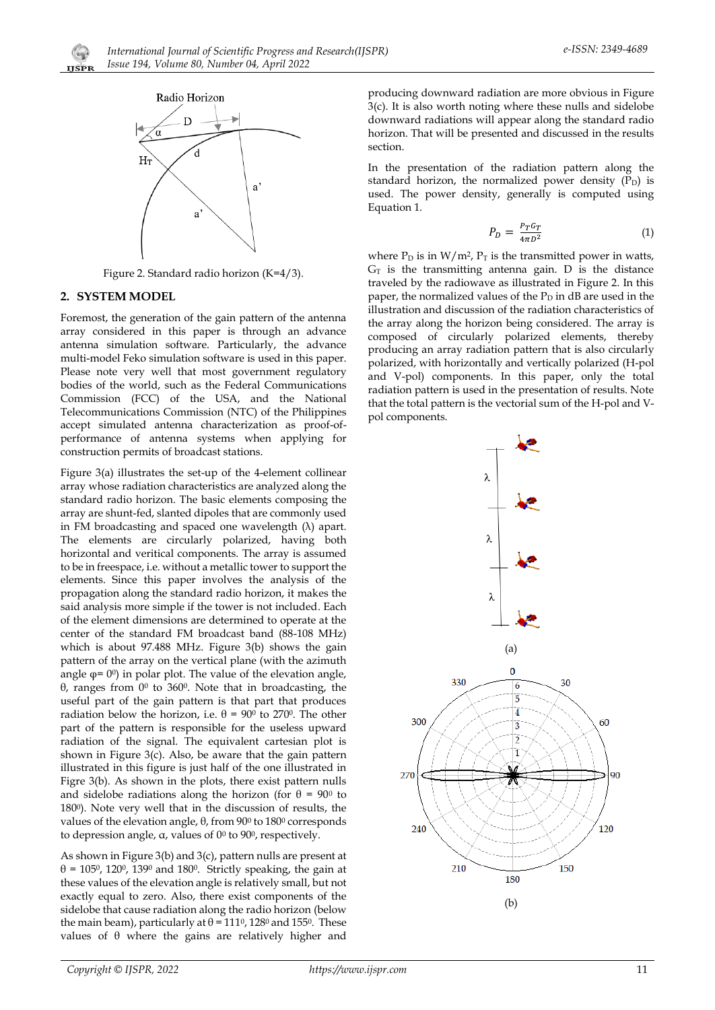



Figure 2. Standard radio horizon (K=4/3).

## **2. SYSTEM MODEL**

Foremost, the generation of the gain pattern of the antenna array considered in this paper is through an advance antenna simulation software. Particularly, the advance multi-model Feko simulation software is used in this paper. Please note very well that most government regulatory bodies of the world, such as the Federal Communications Commission (FCC) of the USA, and the National Telecommunications Commission (NTC) of the Philippines accept simulated antenna characterization as proof-ofperformance of antenna systems when applying for construction permits of broadcast stations.

Figure 3(a) illustrates the set-up of the 4-element collinear array whose radiation characteristics are analyzed along the standard radio horizon. The basic elements composing the array are shunt-fed, slanted dipoles that are commonly used in FM broadcasting and spaced one wavelength (λ) apart. The elements are circularly polarized, having both horizontal and veritical components. The array is assumed to be in freespace, i.e. without a metallic tower to support the elements. Since this paper involves the analysis of the propagation along the standard radio horizon, it makes the said analysis more simple if the tower is not included. Each of the element dimensions are determined to operate at the center of the standard FM broadcast band (88-108 MHz) which is about 97.488 MHz. Figure 3(b) shows the gain pattern of the array on the vertical plane (with the azimuth angle  $\varphi$ = 0<sup>0</sup>) in polar plot. The value of the elevation angle, θ, ranges from 0<sup>0</sup> to 3600. Note that in broadcasting, the useful part of the gain pattern is that part that produces radiation below the horizon, i.e.  $\theta = 90^{\circ}$  to 270°. The other part of the pattern is responsible for the useless upward radiation of the signal. The equivalent cartesian plot is shown in Figure 3(c). Also, be aware that the gain pattern illustrated in this figure is just half of the one illustrated in Figre 3(b). As shown in the plots, there exist pattern nulls and sidelobe radiations along the horizon (for  $\theta = 90^{\circ}$  to 1800). Note very well that in the discussion of results, the values of the elevation angle,  $θ$ , from 90<sup>0</sup> to 180<sup>0</sup> corresponds to depression angle, α, values of 0<sup>0</sup> to 900, respectively.

As shown in Figure 3(b) and 3(c), pattern nulls are present at  $\theta$  = 105<sup>0</sup>, 120<sup>0</sup>, 139<sup>0</sup> and 180<sup>0</sup>. Strictly speaking, the gain at these values of the elevation angle is relatively small, but not exactly equal to zero. Also, there exist components of the sidelobe that cause radiation along the radio horizon (below the main beam), particularly at  $θ = 111<sup>0</sup>$ , 128<sup>0</sup> and 155<sup>0</sup>. These values of  $θ$  where the gains are relatively higher and

producing downward radiation are more obvious in Figure 3(c). It is also worth noting where these nulls and sidelobe downward radiations will appear along the standard radio horizon. That will be presented and discussed in the results section.

In the presentation of the radiation pattern along the standard horizon, the normalized power density  $(P_D)$  is used. The power density, generally is computed using Equation 1.

$$
P_D = \frac{P_T G_T}{4\pi D^2} \tag{1}
$$

where  $P_D$  is in  $W/m^2$ ,  $P_T$  is the transmitted power in watts,  $G_T$  is the transmitting antenna gain. D is the distance traveled by the radiowave as illustrated in Figure 2. In this paper, the normalized values of the  $P_D$  in dB are used in the illustration and discussion of the radiation characteristics of the array along the horizon being considered. The array is composed of circularly polarized elements, thereby producing an array radiation pattern that is also circularly polarized, with horizontally and vertically polarized (H-pol and V-pol) components. In this paper, only the total radiation pattern is used in the presentation of results. Note that the total pattern is the vectorial sum of the H-pol and Vpol components.

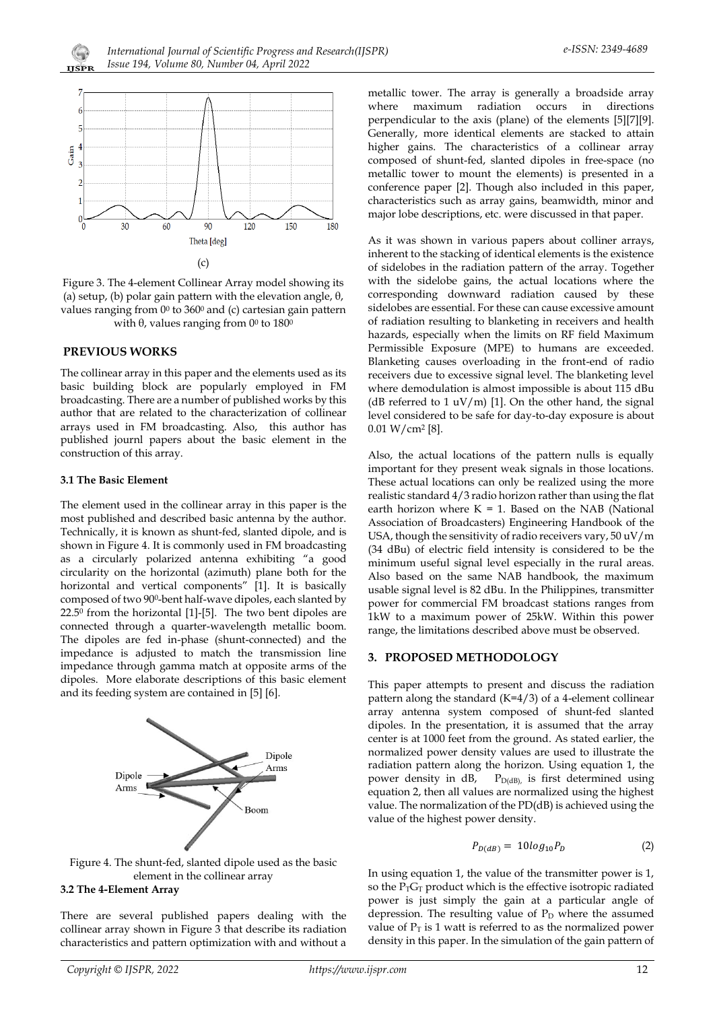



Figure 3. The 4-element Collinear Array model showing its (a) setup, (b) polar gain pattern with the elevation angle, θ, values ranging from  $0^0$  to  $360^0$  and (c) cartesian gain pattern with  $θ$ , values ranging from  $0<sup>0</sup>$  to  $180<sup>0</sup>$ 

## **PREVIOUS WORKS**

The collinear array in this paper and the elements used as its basic building block are popularly employed in FM broadcasting. There are a number of published works by this author that are related to the characterization of collinear arrays used in FM broadcasting. Also, this author has published journl papers about the basic element in the construction of this array.

#### **3.1 The Basic Element**

The element used in the collinear array in this paper is the most published and described basic antenna by the author. Technically, it is known as shunt-fed, slanted dipole, and is shown in Figure 4. It is commonly used in FM broadcasting as a circularly polarized antenna exhibiting "a good circularity on the horizontal (azimuth) plane both for the horizontal and vertical components" [1]. It is basically composed of two 900-bent half-wave dipoles, each slanted by  $22.5^{\circ}$  from the horizontal [1]-[5]. The two bent dipoles are connected through a quarter-wavelength metallic boom. The dipoles are fed in-phase (shunt-connected) and the impedance is adjusted to match the transmission line impedance through gamma match at opposite arms of the dipoles. More elaborate descriptions of this basic element and its feeding system are contained in [5] [6].





## **3.2 The 4-Element Array**

There are several published papers dealing with the collinear array shown in Figure 3 that describe its radiation characteristics and pattern optimization with and without a

metallic tower. The array is generally a broadside array where maximum radiation occurs in directions perpendicular to the axis (plane) of the elements [5][7][9]. Generally, more identical elements are stacked to attain higher gains. The characteristics of a collinear array composed of shunt-fed, slanted dipoles in free-space (no metallic tower to mount the elements) is presented in a conference paper [2]. Though also included in this paper, characteristics such as array gains, beamwidth, minor and major lobe descriptions, etc. were discussed in that paper.

As it was shown in various papers about colliner arrays, inherent to the stacking of identical elements is the existence of sidelobes in the radiation pattern of the array. Together with the sidelobe gains, the actual locations where the corresponding downward radiation caused by these sidelobes are essential. For these can cause excessive amount of radiation resulting to blanketing in receivers and health hazards, especially when the limits on RF field Maximum Permissible Exposure (MPE) to humans are exceeded. Blanketing causes overloading in the front-end of radio receivers due to excessive signal level. The blanketing level where demodulation is almost impossible is about 115 dBu (dB referred to 1  $\frac{uV}{m}$  [1]. On the other hand, the signal level considered to be safe for day-to-day exposure is about 0.01 W/cm<sup>2</sup> [8].

Also, the actual locations of the pattern nulls is equally important for they present weak signals in those locations. These actual locations can only be realized using the more realistic standard 4/3 radio horizon rather than using the flat earth horizon where  $K = 1$ . Based on the NAB (National Association of Broadcasters) Engineering Handbook of the USA, though the sensitivity of radio receivers vary, 50 uV/m (34 dBu) of electric field intensity is considered to be the minimum useful signal level especially in the rural areas. Also based on the same NAB handbook, the maximum usable signal level is 82 dBu. In the Philippines, transmitter power for commercial FM broadcast stations ranges from 1kW to a maximum power of 25kW. Within this power range, the limitations described above must be observed.

## **3. PROPOSED METHODOLOGY**

This paper attempts to present and discuss the radiation pattern along the standard (K=4/3) of a 4-element collinear array antenna system composed of shunt-fed slanted dipoles. In the presentation, it is assumed that the array center is at 1000 feet from the ground. As stated earlier, the normalized power density values are used to illustrate the radiation pattern along the horizon. Using equation 1, the power density in dB, PD(dB), is first determined using equation 2, then all values are normalized using the highest value. The normalization of the PD(dB) is achieved using the value of the highest power density.

$$
P_{D(dB)} = 10log_{10}P_D \tag{2}
$$

In using equation 1, the value of the transmitter power is 1, so the  $P_TG_T$  product which is the effective isotropic radiated power is just simply the gain at a particular angle of depression. The resulting value of  $P_D$  where the assumed value of  $P_T$  is 1 watt is referred to as the normalized power density in this paper. In the simulation of the gain pattern of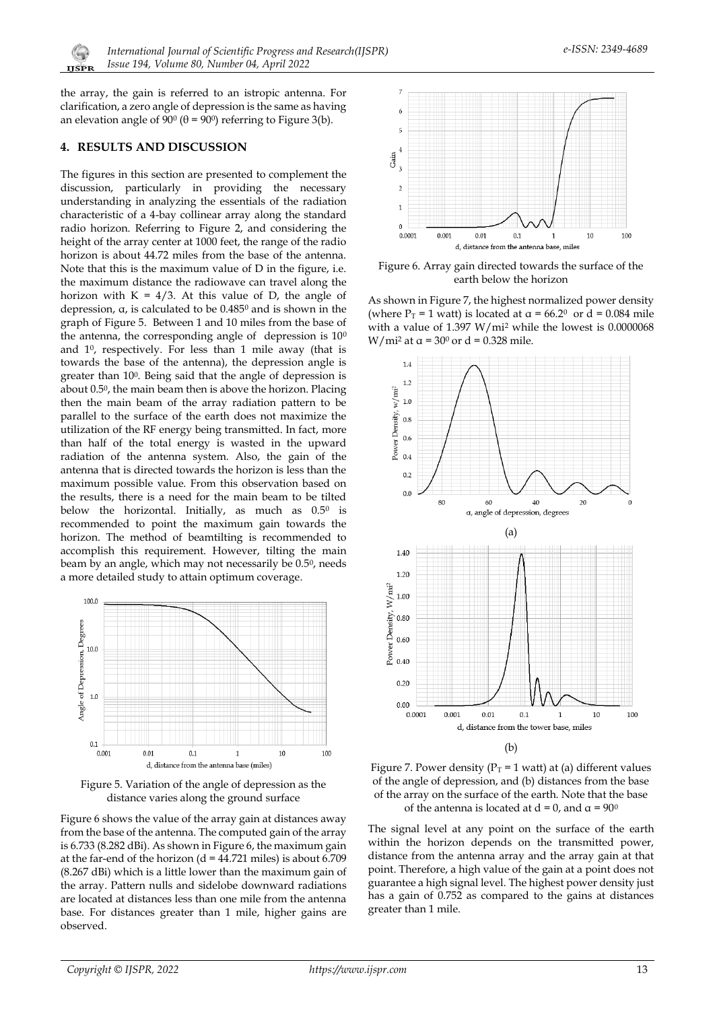

the array, the gain is referred to an istropic antenna. For clarification, a zero angle of depression is the same as having an elevation angle of  $90^{\circ}$  ( $\theta$  =  $90^{\circ}$ ) referring to Figure 3(b).

## **4. RESULTS AND DISCUSSION**

The figures in this section are presented to complement the discussion, particularly in providing the necessary understanding in analyzing the essentials of the radiation characteristic of a 4-bay collinear array along the standard radio horizon. Referring to Figure 2, and considering the height of the array center at 1000 feet, the range of the radio horizon is about 44.72 miles from the base of the antenna. Note that this is the maximum value of D in the figure, i.e. the maximum distance the radiowave can travel along the horizon with  $K = 4/3$ . At this value of D, the angle of depression, α, is calculated to be 0.485<sup>0</sup> and is shown in the graph of Figure 5. Between 1 and 10 miles from the base of the antenna, the corresponding angle of depression is  $10<sup>0</sup>$ and 10, respectively. For less than 1 mile away (that is towards the base of the antenna), the depression angle is greater than 100. Being said that the angle of depression is about 0.50, the main beam then is above the horizon. Placing then the main beam of the array radiation pattern to be parallel to the surface of the earth does not maximize the utilization of the RF energy being transmitted. In fact, more than half of the total energy is wasted in the upward radiation of the antenna system. Also, the gain of the antenna that is directed towards the horizon is less than the maximum possible value. From this observation based on the results, there is a need for the main beam to be tilted below the horizontal. Initially, as much as 0.5<sup>0</sup> is recommended to point the maximum gain towards the horizon. The method of beamtilting is recommended to accomplish this requirement. However, tilting the main beam by an angle, which may not necessarily be 0.50, needs a more detailed study to attain optimum coverage.



Figure 5. Variation of the angle of depression as the distance varies along the ground surface

Figure 6 shows the value of the array gain at distances away from the base of the antenna. The computed gain of the array is 6.733 (8.282 dBi). As shown in Figure 6, the maximum gain at the far-end of the horizon (d = 44.721 miles) is about 6.709 (8.267 dBi) which is a little lower than the maximum gain of the array. Pattern nulls and sidelobe downward radiations are located at distances less than one mile from the antenna base. For distances greater than 1 mile, higher gains are observed.



Figure 6. Array gain directed towards the surface of the earth below the horizon

As shown in Figure 7, the highest normalized power density (where  $P_T = 1$  watt) is located at  $\alpha = 66.2^{\circ}$  or d = 0.084 mile with a value of 1.397 W/mi<sup>2</sup> while the lowest is 0.0000068 W/mi<sup>2</sup> at  $\alpha$  = 30<sup>0</sup> or d = 0.328 mile.





The signal level at any point on the surface of the earth within the horizon depends on the transmitted power, distance from the antenna array and the array gain at that point. Therefore, a high value of the gain at a point does not guarantee a high signal level. The highest power density just has a gain of 0.752 as compared to the gains at distances greater than 1 mile.